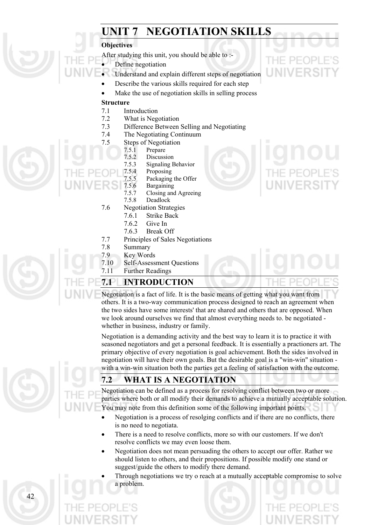# **UNIT 7 NEGOTIATION SKILLS**

### **Objectives**

- After studying this unit, you should be able to :-
- Define negotiation
- Understand and explain different steps of negotiation
- Describe the various skills required for each step
- Make the use of negotiation skills in selling process

#### **Structure**

- 7.1 Introduction
- 7.2 What is Negotiation
- 7.3 Difference Between Selling and Negotiating
- 7.4 The Negotiating Continuum
- 7.5 Steps of Negotiation
	- 7.5.1 Prepare
- 7.5.2 Discussion
	- 7.5.3 Signaling Behavior
	- 7.5.4 Proposing
	- 7.5.5 Packaging the Offer
	- 7.5.6 Bargaining
	- 7.5.7 Closing and Agreeing
	- 7.5.8 Deadlock
	- 7.6 Negotiation Strategies
		- 7.6.1 Strike Back
		- 7.6.2 Give In
		- 7.6.3 Break Off
	- 7.7 Principles of Sales Negotiations
	- 7.8 Summary
	- 7.9 Key Words
	- 7.10 Self-Assessment Questions
	- 7.11 Further Readings

# **7.1 INTRODUCTION**

Negotiation is a fact of life. It is the basic means of getting what you want from others. It is a two-way communication process designed to reach an agreement when the two sides have some interests' that are shared and others that are opposed. When we look around ourselves we find that almost everything needs to. be negotiated whether in business, industry or family.

Negotiation is a demanding activity and the best way to learn it is to practice it with seasoned negotiators and get a personal feedback. It is essentially a practioners art. The primary objective of every negotiation is goal achievement. Both the sides involved in negotiation will have their own goals. But the desirable goal is a "win-win" situation with a win-win situation both the parties get a feeling of satisfaction with the outcome.

# **7.2 WHAT IS A NEGOTIATION**

Negotiation can be defined as a process for resolving conflict between two or more parties where both or all modify their demands to achieve a mutually acceptable solution. You may note from this definition some of the following important points.

- Negotiation is a process of resolging conflicts and if there are no conflicts, there is no need to negotiata. •
- There is a need to resolve conflicts, more so with our customers. If we don't resolve conflicts we may even loose them.
- Negotiation does not mean persuading the others to accept our offer. Rather we should listen to others, and their propositions. If possible modify one stand or suggest/guide the others to modify there demand.
- Through negotiations we try o reach at a mutually acceptable compromise to solve a problem.

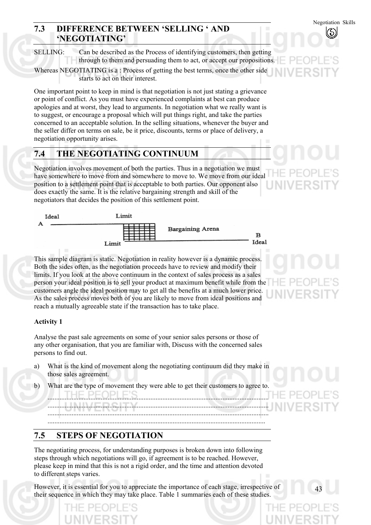# **7.3 DIFFERENCE BETWEEN 'SELLING ' AND 'NEGOTIATING'**

SELLING: Can be described as the Process of identifying customers, then getting through to them and persuading them to act, or accept our propositions.

Whereas NEGOTIATING is a : Process of getting the best terms, once the other side starts to act on their interest.

One important point to keep in mind is that negotiation is not just stating a grievance or point of conflict. As you must have experienced complaints at best can produce apologies and at worst, they lead to arguments. In negotiation what we really want is to suggest, or encourage a proposal which will put things right, and take the parties concerned to an acceptable solution. In the selling situations, whenever the buyer and the seller differ on terms on sale, be it price, discounts, terms or place of delivery, a negotiation opportunity arises.

# **7.4 THE NEGOTIATING CONTINUUM**

Negotiation involves movement of both the parties. Thus in a negotiation we must have somewhere to move from and somewhere to move to. We move from our ideal position to a settlement point that is acceptable to both parties. Our opponent also does exactly the same. It is the relative bargaining strength and skill of the negotiators that decides the position of this settlement point.



This sample diagram is static. Negotiation in reality however is a dynamic process. Both the sides often, as the negotiation proceeds have to review and modify their limits. If you look at the above continuum in the context of sales process as a sales person your ideal position is to sell your product at maximum benefit while from the customers angle the ideal position may to get all the benefits at a much lower price. As the sales process moves both of you are likely to move from ideal positions and reach a mutually agreeable state if the transaction has to take place.

### **Activity 1**

Analyse the past sale agreements on some of your senior sales persons or those of any other organisation, that you are familiar with, Discuss with the concerned sales persons to find out.

- a) What is the kind of movement along the negotiating continuum did they make in those sales agreement.
- b) What are the type of movement they were able to get their customers to agree to.

................................................................................................................................. ...............................................................................................................................

................................................................................................................................. .................................................................................................................................

# **7.5 STEPS OF NEGOTIATION**

The negotiating process, for understanding purposes is broken down into following steps through which negotiations will go, if agreement is to be reached. However, please keep in mind that this is not a rigid order, and the time and attention devoted to different steps varies.

However, it is essential for you to appreciate the importance of each stage, irrespective of their sequence in which they may take place. Table 1 summaries each of these studies.

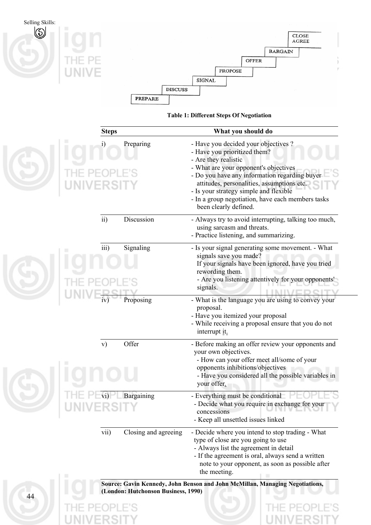

**Table 1: Different Steps Of Negotiation** 

|    | <b>Steps</b>      |                                     | What you should do                                                                                                                                                                                                                                                                                                                                           |
|----|-------------------|-------------------------------------|--------------------------------------------------------------------------------------------------------------------------------------------------------------------------------------------------------------------------------------------------------------------------------------------------------------------------------------------------------------|
|    | i)<br>NIVERSIT    | Preparing                           | - Have you decided your objectives ?<br>- Have you prioritized them?<br>- Are they realistic<br>- What are your opponent's objectives<br>- Do you have any information regarding buyer<br>attitudes, personalities, assumptions etc.<br>- Is your strategy simple and flexible<br>- In a group negotiation, have each members tasks<br>been clearly defined. |
|    | $\overline{ii}$ ) | Discussion                          | - Always try to avoid interrupting, talking too much,<br>using sarcasm and threats.<br>- Practice listening, and summarizing.                                                                                                                                                                                                                                |
|    | iii)              | Signaling                           | - Is your signal generating some movement. - What<br>signals save you made?<br>If your signals have been ignored, have you tried<br>rewording them.<br>- Are you listening attentively for your opponents'<br>signals.                                                                                                                                       |
|    |                   | Proposing                           | - What is the language you are using to convey your<br>proposal.<br>- Have you itemized your proposal<br>- While receiving a proposal ensure that you do not<br>interrupt it.                                                                                                                                                                                |
|    | V)                | Offer                               | - Before making an offer review your opponents and<br>your own objectives.<br>- How can your offer meet all/some of your<br>opponents inhibitions/objectives<br>- Have you considered all the possible variables in<br>your offer.                                                                                                                           |
|    |                   | Bargaining                          | - Everything must be conditional<br>- Decide what you require in exchange for your<br>concessions<br>- Keep all unsettled issues linked                                                                                                                                                                                                                      |
|    | vii)              | Closing and agreeing                | - Decide where you intend to stop trading - What<br>type of close are you going to use<br>- Always list the agreement in detail<br>- If the agreement is oral, always send a written<br>note to your opponent, as soon as possible after<br>the meeting.                                                                                                     |
| 44 |                   | (London: Hutchonson Business, 1990) | Source: Gavin Kennedy, John Benson and John McMillan, Managing Negotiations,                                                                                                                                                                                                                                                                                 |
|    |                   |                                     |                                                                                                                                                                                                                                                                                                                                                              |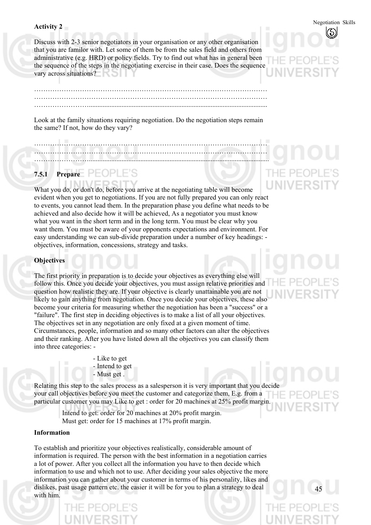Discuss with 2-3 senior negotiators in your organisation or any other organisation that you are familor with. Let some of them be from the sales field and others from administrative (e.g. HRD) or policy fields. Try to find out what has in general been the sequence of the steps in the negotiating exercise in their case. Does the sequence vary across situations?

………………………………………………………………………………………… ………………………………………………………………………………………… ……………………........................................................................................................

Look at the family situations requiring negotiation. Do the negotiation steps remain the same? If not, how do they vary?

………………………………………………………………………………………… ………………………………………………………………………………………… …………………….........................................................................................................

# **7.5.1 Prepare**

What you do, or don't do, before you arrive at the negotiating table will become evident when you get to negotiations. If you are not fully prepared you can only react to events, you cannot lead them. In the preparation phase you define what needs to be achieved and also decide how it will be achieved, As a negotiator you must know what you want in the short term and in the long term. You must be clear why you want them. You must be aware of your opponents expectations and environment. For easy understanding we can sub-divide preparation under a number of key headings: objectives, information, concessions, strategy and tasks.

#### **Objectives**

The first priority in preparation is to decide your objectives as everything else will follow this. Once you decide your objectives, you must assign relative priorities and question how realistic they are. If your objective is clearly unattainable you are not likely to gain anything from negotiation. Once you decide your objectives, these also become your criteria for measuring whether the negotiation has been a "success" or a "failure". The first step in deciding objectives is to make a list of all your objectives. The objectives set in any negotiation are only fixed at a given moment of time. Circumstances, people, information and so many other factors can alter the objectives and their ranking. After you have listed down all the objectives you can classify them into three categories: -

> - Like to get - Intend to get - Must get .

Relating this step to the sales process as a salesperson it is very important that you decide your call objectives before you meet the customer and categorize them, E.g. from a particular customer you may Like to get : order for 20 machines at 25% profit margin.

> Intend to get: order for 20 machines at 20% profit margin. Must get: order for 15 machines at 17% profit margin.

#### **Information**

To establish and prioritize your objectives realistically, considerable amount of information is required. The person with the best information in a negotiation carries a lot of power. After you collect all the information you have to then decide which information to use and which not to use. After deciding your sales objective the more information you can gather about your customer in terms of his personality, likes and dislikes, past usage pattern etc. the easier it will be for you to plan a strategy to deal with him.

45

# Negotiation Skills **Activity 2**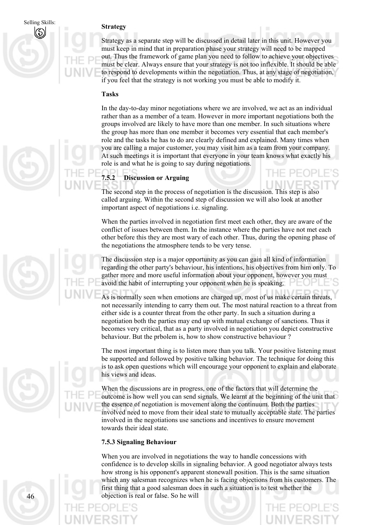# Selling Skills: **Strategy**

Strategy as a separate step will be discussed in detail later in this unit. However you must keep in mind that in preparation phase your strategy will need to be mapped out. Thus the framework of game plan you need to follow to achieve your objectives must be clear. Always ensure that your strategy is not too inflexible. It should be able to respond to developments within the negotiation. Thus, at any stage of negotiation, if you feel that the strategy is not working you must be able to modify it.

#### **Tasks**

In the day-to-day minor negotiations where we are involved, we act as an individual rather than as a member of a team. However in more important negotiations both the groups involved are likely to have more than one member. In such situations where the group has more than one member it becomes very essential that each member's role and the tasks he has to do are clearly defined and explained. Many times when you are calling a major customer, you may visit him as a team from your company. At such meetings it is important that everyone in your team knows what exactly his role is and what he is going to say during negotiations.

# **7.5.2 Discussion or Arguing**

The second step in the process of negotiation is the discussion. This step is also called arguing. Within the second step of discussion we will also look at another important aspect of negotiations i.e. signaling.

When the parties involved in negotiation first meet each other, they are aware of the conflict of issues between them. In the instance where the parties have not met each other before this they are most wary of each other. Thus, during the opening phase of the negotiations the atmosphere tends to be very tense.

The discussion step is a major opportunity as you can gain all kind of information regarding the other party's behaviour, his intentions, his objectives from him only. To gather more and more useful information about your opponent, however you must avoid the habit of interrupting your opponent when he is speaking.

As is normally seen when emotions are charged up, most of us make certain threats, not necessarily intending to carry them out. The most natural reaction to a threat from either side is a counter threat from the other party. In such a situation during a negotiation both the parties may end up with mutual exchange of sanctions. Thus it becomes very critical, that as a party involved in negotiation you depict constructive behaviour. But the prbolem is, how to show constructive behaviour ?

The most important thing is to listen more than you talk. Your positive listening must be supported and followed by positive talking behavior. The technique for doing this is to ask open questions which will encourage your opponent to explain and elaborate his views and ideas.

When the discussions are in progress, one of the factors that will determine the outcome is how well you can send signals. We learnt at the beginning of the unit that the essence of negotiation is movement along the continuum. Both the parties involved need to move from their ideal state to mutually acceptable state. The parties involved in the negotiations use sanctions and incentives to ensure movement towards their ideal state.

#### **7.5.3 Signaling Behaviour**

When you are involved in negotiations the way to handle concessions with confidence is to develop skills in signaling behavior. A good negotiator always tests how strong is his opponent's apparent stonewall position. This is the same situation which any salesman recognizes when he is facing objections from his customers. The first thing that a good salesman does in such a situation is to test whether the 46 objection is real or false. So he will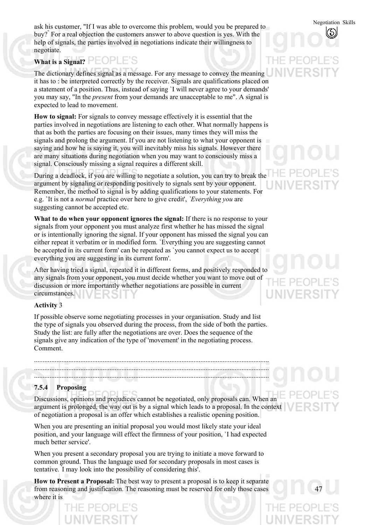Negotiation Skills ask his customer, "If I was able to overcome this problem, would you be prepared to buy?" For a real objection the customers answer to above question is yes. With the help of signals, the parties involved in negotiations indicate their willingness to negotiate.

# **What is a Signal?**

The dictionary defines signal as a message. For any message to convey the meaning it has to : be interpreted correctly by the receiver. Signals are qualifications placed on a statement of a position. Thus, instead of saying `I will never agree to your demands' you may say, "In the *present* from your demands are unacceptable to me". A signal is expected to lead to movement.

**How to signal:** For signals to convey message effectively it is essential that the parties involved in negotiations are listening to each other. What normally happens is that as both the parties are focusing on their issues, many times they will miss the signals and prolong the argument. If you are not listening to what your opponent is saying and how he is saying it, you will inevitably miss his signals. However there are many situations during negotiation when you may want to consciously miss a signal. Consciously missing a signal requires a different skill.

During a deadlock, if you are willing to negotiate a solution, you can try to break the argument by signaling or responding positively to signals sent by your opponent. Remember, the method to signal is by adding qualifications to your statements. For e.g. `It is not a *normal* practice over here to give credit', *`Everything you* are suggesting cannot be accepted etc.

**What to do when your opponent ignores the signal:** If there is no response to your signals from your opponent you must analyze first whether he has missed the signal or is intentionally ignoring the signal. If your opponent has missed the signal you can either repeat it verbatim or in modified form. `Everything you are suggesting cannot be accepted in its current form' can be repeated as `you cannot expect us to accept everything you are suggesting in its current form'.

After having tried a signal, repeated it in different forms, and positively responded to any signals from your opponent, you must decide whether you want to move out of discussion or more importantly whether negotiations are possible in current circumstances.

### **Activity** 3

If possible observe some negotiating processes in your organisation. Study and list the type of signals you observed during the process, from the side of both the parties. Study the list: are fully after the negotiations are over. Does the sequence of the signals give any indication of the type of 'movement' in the negotiating process. Comment.

......................................................................................................................................... .........................................................................................................................................

.........................................................................................................................................

#### **7.5.4 Proposing**

Discussions, opinions and prejudices cannot be negotiated, only proposals can. When an argument is prolonged, the way out is by a signal which leads to a proposal. In the context of negotiation a proposal is an offer which establishes a realistic opening position.

When you are presenting an initial proposal you would most likely state your ideal position, and your language will effect the firmness of your position, `I had expected much better service'.

When you present a secondary proposal you are trying to initiate a move forward to common ground. Thus the language used for secondary proposals in most cases is tentative. ' I may look into the possibility of considering this'.

**How to Present a Proposal:** The best way to present a proposal is to keep it separate from reasoning and justification. The reasoning must be reserved for only those cases where it is

47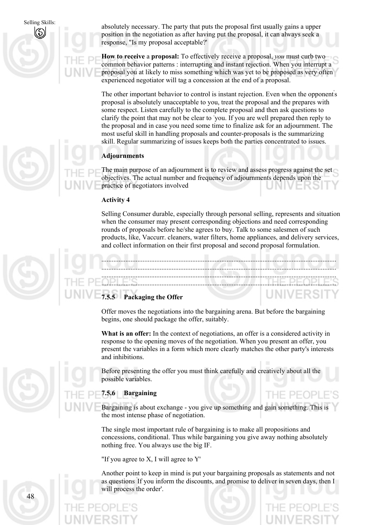Selling Skills: absolutely necessary. The party that puts the proposal first usually gains a upper position in the negotiation as after having put the proposal, it can always seek a response, "Is my proposal acceptable?'

> **How to receive** a **proposal:** To effectively receive a proposal, *you* must curb two common behavior patterns : interrupting and instant rejection. When you interrupt a proposal you at likely to miss something which was yet to be proposed as very often experienced negotiator will tag a concession at the end of a proposal.

> The other important behavior to control is instant rejection. Even when the opponent's proposal is absolutely unacceptable to you, treat the proposal and the prepares with some respect. Listen carefully to the complete proposal and then ask questions to clarify the point that may not be clear to you. If you are well prepared then reply to the proposal and in case you need some time to finalize ask for an adjournment. The most useful skill in handling proposals and counter-proposals is the summarizing skill. Regular summarizing of issues keeps both the parties concentrated to issues.

### **Adjournments**

The main purpose of an adjournment is to review and assess progress against the set objectives. The actual number and frequency of adjournments depends upon the practice of negotiators involved

#### **Activity 4**

Selling Consumer durable, especially through personal selling, represents and situation when the consumer may present corresponding objections and need corresponding rounds of proposals before he/she agrees to buy. Talk to some salesmen of such products, like, Vaccurr. cleaners, water filters, home appliances, and delivery services, and collect information on their first proposal and second proposal formulation.

......................................................................................................................................... ......................................................................................................................................... ......................................................................................................................................... .........................................................................................................................................

### **7.5.5 Packaging the Offer**

Offer moves the negotiations into the bargaining arena. But before the bargaining begins, one should package the offer, suitably.

**What is an offer:** In the context of negotiations, an offer is a considered activity in response to the opening moves of the negotiation. When you present an offer, you present the variables in a form which more clearly matches the other party's interests and inhibitions.

Before presenting the offer you must think carefully and creatively about all the possible variables.

### **7.5.6 Bargaining**

Bargaining is about exchange - you give up something and gain something. This is the most intense phase of negotiation.

HE PEOPLE

The single most important rule of bargaining is to make all propositions and concessions, conditional. Thus while bargaining you give away nothing absolutely nothing free. You always use the big IF.

"If you agree to X, I will agree to Y'

Another point to keep in mind is put your bargaining proposals as statements and not as questions ' If you inform the discounts, and promise to deliver in seven days, then I will process the order'.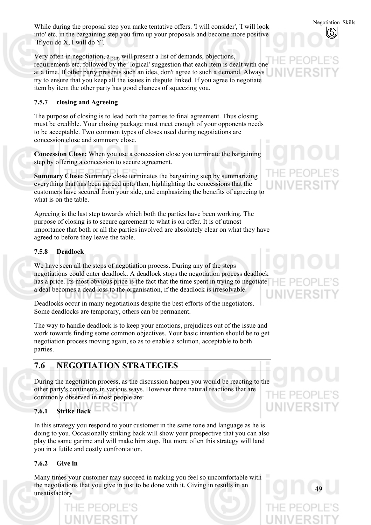Negotiation Skills While during the proposal step you make tentative offers. 'I will consider', 'I will look into' etc. in the bargaining step you firm up your proposals and become more positive `If you do X, I will do Y'.

Very often in negotiation, a <sub>party</sub> will present a list of demands, objections, requirements etc. followed by the `logical' suggestion that each item is dealt with one at a time. If other party presents such an idea, don't agree to such a demand. Always try to ensure that you keep all the issues in dispute linked. If you agree to negotiate item by item the other party has good chances of squeezing you.

#### **7.5.7 closing and Agreeing**

The purpose of closing is to lead both the parties to final agreement. Thus closing must be credible. Your closing package must meet enough of your opponents needs to be acceptable. Two common types of closes used during negotiations are concession close and summary close.

**Concession Close:** When you use a concession close you terminate the bargaining step by offering a concession to secure agreement.

**Summary Close:** Summary close terminates the bargaining step by summarizing everything that has been agreed upto then, highlighting the concessions that the customers have secured from your side, and emphasizing the benefits of agreeing to what is on the table.

Agreeing is the last step towards which both the parties have been working. The purpose of closing is to secure agreement to what is on offer. It is of utmost importance that both or all the parties involved are absolutely clear on what they have agreed to before they leave the table.

#### **7.5.8 Deadlock**

We have seen all the steps of negotiation process. During any of the steps negotiations could enter deadlock. A deadlock stops the negotiation process deadlock has a price. Its most obvious price is the fact that the time spent in trying to negotiate a deal becomes a dead loss to the organisation, if the deadlock is irresolvable.

Deadlocks occur in many negotiations despite the best efforts of the negotiators. Some deadlocks are temporary, others can be permanent.

The way to handle deadlock is to keep your emotions, prejudices out of the issue and work towards finding some common objectives. Your basic intention should be to get negotiation process moving again, so as to enable a solution, acceptable to both parties.

# **7.6 NEGOTIATION STRATEGIES**

During the negotiation process, as the discussion happen you would be reacting to the other party's continents in various ways. However three natural reactions that are THE PEOI commonly observed in most people are:

### **7.6.1 Strike Back**

In this strategy you respond to your customer in the same tone and language as he is doing to you. Occasionally striking back will show your prospective that you can also play the same garime and will make him stop. But more often this strategy will land you in a futile and costly confrontation.

### **7.6.2 Give in**

Many times your customer may succeed in making you feel so uncomfortable with the negotiations that you give in just to be done with it. Giving in results in an unsatisfactory

49

UNIVERSI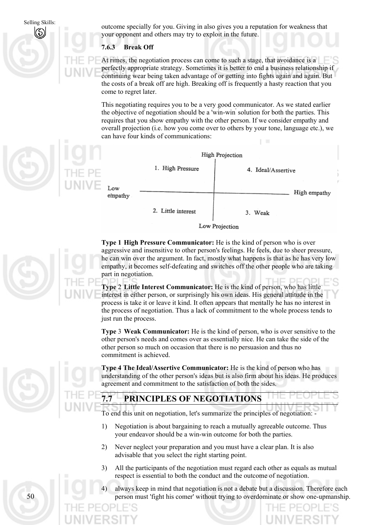Selling Skills:

outcome specially for you. Giving in also gives you a reputation for weakness that your opponent and others may try to exploit in the future.

#### **7.6.3 Break Off**

At rimes, the negotiation process can come to such a stage, that avoidance is a perfectly appropriate strategy. Sometimes it is better to end a business relationship if continuing wear being taken advantage of or getting into fights again and again. But the costs of a break off are high. Breaking off is frequently a hasty reaction that you come to regret later.

This negotiating requires you to be a very good communicator. As we stated earlier the objective of negotiation should be a 'win-win' solution for both the parties. This requires that you show empathy with the other person. If we consider empathy and overall projection (i.e. how you come over to others by your tone, language etc.), we can have four kinds of communications:





**Type 1 High Pressure Communicator:** He is the kind of person who is over aggressive and insensitive to other person's feelings. He feels, due to sheer pressure, he can win over the argument. In fact, mostly what happens is that as he has very low empathy, it becomes self-defeating and switches off the other people who are taking part in negotiation.

**Type** 2 **Little Interest Communicator:** He is the kind of person, who has little interest in either person, or surprisingly his own ideas. His general attitude in the process is take it or leave it kind. It often appears that mentally he has no interest in the process of negotiation. Thus a lack of commitment to the whole process tends to just run the process.

**Type** 3 **Weak Communicator:** He is the kind of person, who is over sensitive to the other person's needs and comes over as essentially nice. He can take the side of the other person so much on occasion that there is no persuasion and thus no commitment is achieved.

**Type 4 The Ideal/Assertive Communicator:** He is the kind of person who has understanding of the other person's ideas but is also firm about his ideas. He produces agreement and commitment to the satisfaction of both the sides.

# **7.7 PRINCIPLES OF NEGOTIATIONS**

To end this unit on negotiation, let's summarize the principles of negotiation: -

- 1) Negotiation is about bargaining to reach a mutually agreeable outcome. Thus your endeavor should be a win-win outcome for both the parties.
- 2) Never neglect your preparation and you must have a clear plan. It is also advisable that you select the right starting point.
- 3) All the participants of the negotiation must regard each other as equals as mutual respect is essential to both the conduct and the outcome of negotiation.
- always keep in mind that negotiation is not a debate but a discussion. Therefore each person must 'fight his comer' without trying to overdominate or show one-upmanship.



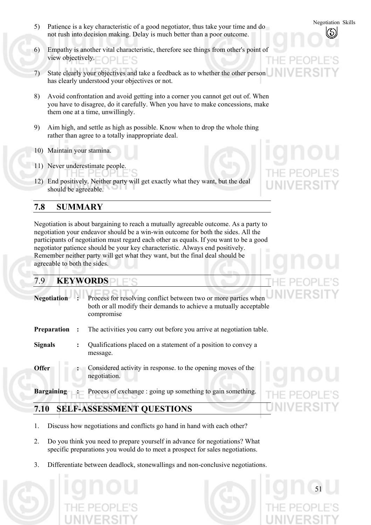- S) Patience is a key characteristic of a good negotiator, thus take your time and do not rush into decision making. Delay is much better than a poor outcome.
- 6) Empathy is another vital characteristic, therefore see things from other's point of view objectively.
- 7) State clearly your objectives and take a feedback as to whether the other person has clearly understood your objectives or not.
- 8) Avoid confrontation and avoid getting into a corner you cannot get out of. When you have to disagree, do it carefully. When you have to make concessions, make them one at a time, unwillingly.
- 9) Aim high, and settle as high as possible. Know when to drop the whole thing rather than agree to a totally inappropriate deal.
- 10) Maintain your stamina.
- 11) Never underestimate people.
- 12) End positively. Neither party will get exactly what they want, but the deal should be agreeable.

# **7.8 SUMMARY**

Negotiation is about bargaining to reach a mutually agreeable outcome. As a party to negotiation your endeavor should be a win-win outcome for both the sides. All the participants of negotiation must regard each other as equals. If you want to be a good negotiator patience should be your key characteristic. Always end positively. Remember neither party will get what they want, but the final deal should be agreeable to both the sides.

# 7.9 **KEYWORDS**

| <b>Negotiation</b> |                | Process for resolving conflict between two or more parties when<br>both or all modify their demands to achieve a mutually acceptable<br>compromise |
|--------------------|----------------|----------------------------------------------------------------------------------------------------------------------------------------------------|
| <b>Preparation</b> |                | The activities you carry out before you arrive at negotiation table.                                                                               |
| <b>Signals</b>     | $\ddot{\cdot}$ | Qualifications placed on a statement of a position to convey a<br>message.                                                                         |
| <b>Offer</b>       |                | Considered activity in response, to the opening moves of the<br>negotiation.                                                                       |
| <b>Bargaining</b>  |                | : Process of exchange : going up something to gain something.                                                                                      |

# **7.10 SELF-ASSESSMENT QUESTIONS**

- 1. Discuss how negotiations and conflicts go hand in hand with each other?
- 2. Do you think you need to prepare yourself in advance for negotiations? What specific preparations you would do to meet a prospect for sales negotiations.
- 3. Differentiate between deadlock, stonewallings and non-conclusive negotiations.





51

D)